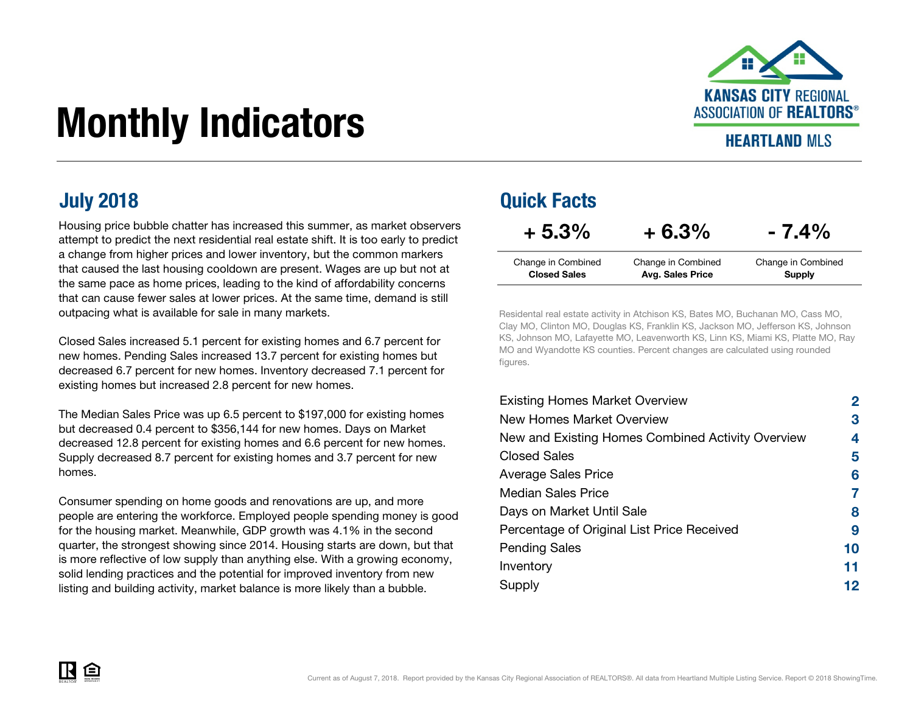

# Monthly Indicators

### **HEARTLAND MIS**

Housing price bubble chatter has increased this summer, as market observers attempt to predict the next residential real estate shift. It is too early to predict a change from higher prices and lower inventory, but the common markers that caused the last housing cooldown are present. Wages are up but not at the same pace as home prices, leading to the kind of affordability concerns that can cause fewer sales at lower prices. At the same time, demand is still outpacing what is available for sale in many markets.

Closed Sales increased 5.1 percent for existing homes and 6.7 percent for new homes. Pending Sales increased 13.7 percent for existing homes but decreased 6.7 percent for new homes. Inventory decreased 7.1 percent for existing homes but increased 2.8 percent for new homes.

The Median Sales Price was up 6.5 percent to \$197,000 for existing homes but decreased 0.4 percent to \$356,144 for new homes. Days on Market decreased 12.8 percent for existing homes and 6.6 percent for new homes. Supply decreased 8.7 percent for existing homes and 3.7 percent for new homes.

Consumer spending on home goods and renovations are up, and more people are entering the workforce. Employed people spending money is good for the housing market. Meanwhile, GDP growth was 4.1% in the second quarter, the strongest showing since 2014. Housing starts are down, but that is more reflective of low supply than anything else. With a growing economy, solid lending practices and the potential for improved inventory from new listing and building activity, market balance is more likely than a bubble.

### July 2018 Quick Facts

| $+5.3\%$            | $+6.3%$                 | $-7.4\%$           |
|---------------------|-------------------------|--------------------|
| Change in Combined  | Change in Combined      | Change in Combined |
| <b>Closed Sales</b> | <b>Avg. Sales Price</b> | <b>Supply</b>      |

Residental real estate activity in Atchison KS, Bates MO, Buchanan MO, Cass MO, Clay MO, Clinton MO, Douglas KS, Franklin KS, Jackson MO, Jefferson KS, Johnson KS, Johnson MO, Lafayette MO, Leavenworth KS, Linn KS, Miami KS, Platte MO, Ray MO and Wyandotte KS counties. Percent changes are calculated using rounded figures.

| <b>Existing Homes Market Overview</b>             | 2  |
|---------------------------------------------------|----|
| New Homes Market Overview                         | З  |
| New and Existing Homes Combined Activity Overview | 4  |
| Closed Sales                                      | 5  |
| <b>Average Sales Price</b>                        | 6  |
| <b>Median Sales Price</b>                         |    |
| Days on Market Until Sale                         | 8  |
| Percentage of Original List Price Received        | 9  |
| <b>Pending Sales</b>                              | 10 |
| Inventory                                         | 11 |
| Supply                                            | 12 |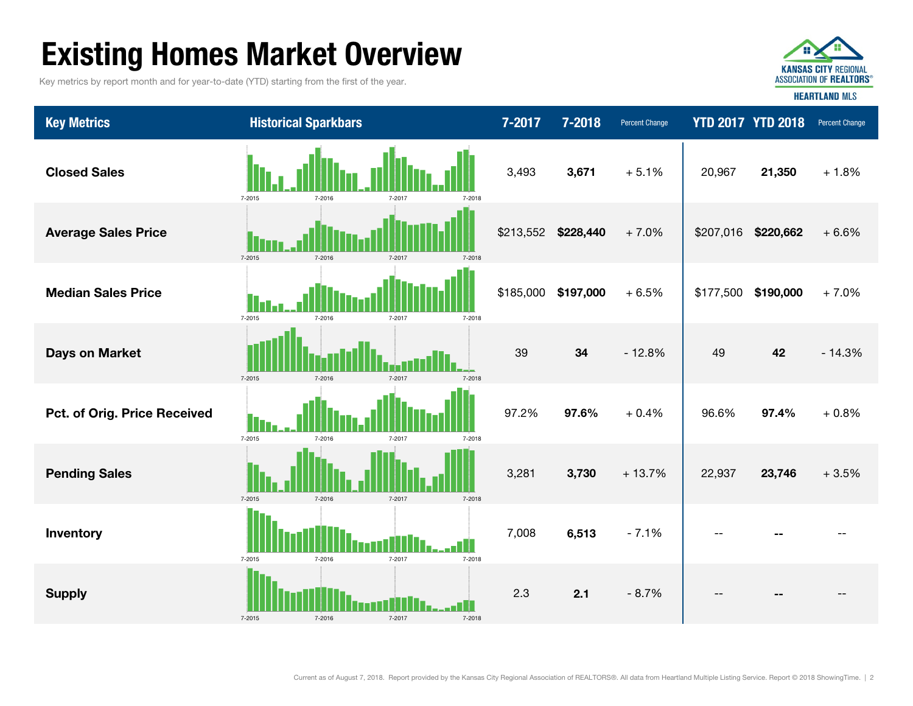# Existing Homes Market Overview

Key metrics by report month and for year-to-date (YTD) starting from the first of the year.



Key Metrics **Micropher Historical Sparkbars 7-2017 7-2017 7-2018** Percent Change **YTD 2017 YTD 2018** Percent Change --Supply 2.3 2.1 - 8.7% -- -- -- Inventory 7,008 6,513 - 7.1% -- -- + 0.8%**Pending Sales 3,281 3,730** + 13.7% 22,937 **23,746** + 3.5% Pct. of Orig. Price Received **1. 1. 2. 2. 2. 2. 2.** 2.2% 97.6% + 0.4% 96.6% 97.4% + 7.0%Days on Market 39 34 - 12.8% 49 42 - 14.3% Median Sales Price $$185,000$  \$197,000 + 6.5% \$177,500 \$190,000  $21.350 + 1.8\%$ Average Sales Price \$213,552 \$228,440 + 7.0% \$207,016 \$220,662 + 6.6% 20,967 Closed Sales 3,493 3,671 + 5.1% 7-2015 7-2016 7-2017 7-2018 7-2015 7-2016 7-2017 7-2018 7-2015 7-2016 7-2017 7-2018 7-2015 7-2016 7-2017 7-2018 7-2015 7-2016 7-2017 7-2018 7-2015 7-2016 7-2017 7-2018 7-2015 7-2016 7-2017 7-2018 7-20157-2016 7-2017 7-2018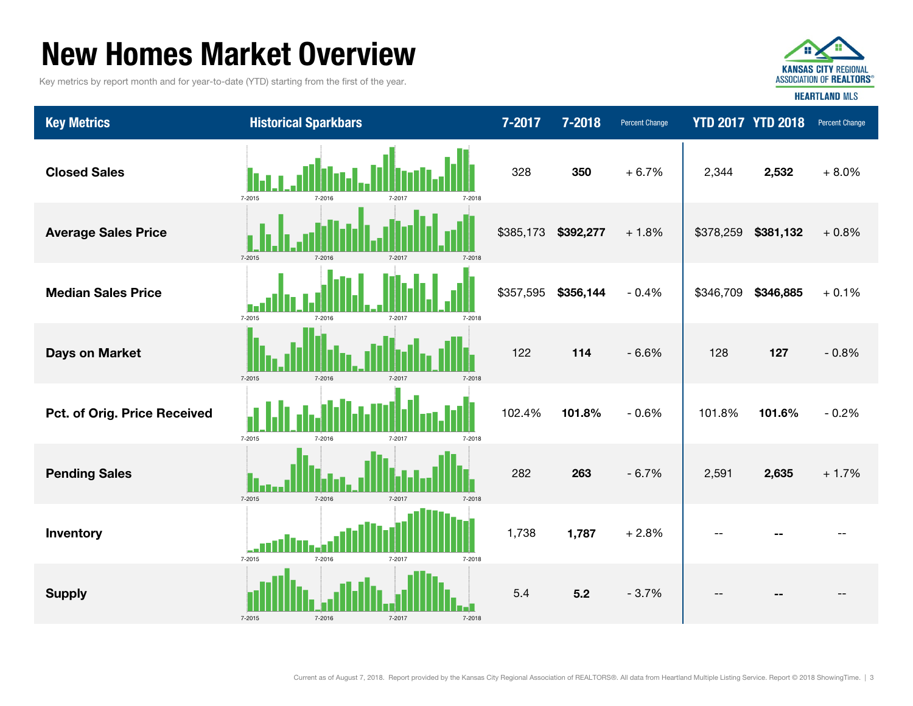### New Homes Market Overview

Key metrics by report month and for year-to-date (YTD) starting from the first of the year.



**HEARTLAND MLS** 

Key Metrics **Micropher Historical Sparkbars 1996 12017 7-2017 7-2018** Percent Change **YTD 2017 YTD 2018** Percent Change Closed Sales 328 350 + 6.7% 2,532 + 8.0% Average Sales Price \$385,173 \$392,277 + 1.8% \$378,259 \$381,132 + 0.8% 2,344 Median Sales Price $$357,595$   $$356,144$  - 0.4%  $\parallel$  \$346,709 \$346,885 + 0.1% - 0.8%101.6% - 0.2% **Days on Market 127 128** 127 **128** 127 **128** 127 **Pct. of Orig. Price Received 101.8% 101.8% 101.8%** 101.8% 101.8% 101.8% 101.8% + 1.7%Inventory 1,738 1,787 + 2.8% -- -- -- **Pending Sales 2,635 2,635 2,635 2,635 2,635 2,635 2,635 2,635 2,635** Supply 5.4 5.2 - 3.7% -- -- -- 7-2015 7-2016 7-2017 7-2018 7-2015 7-2016 7-2017 7-2018 7-2015 7-2016 7-2017 7-2018 7-2015 7-2016 7-2017 7-2018 7-2015 7-2016 7-2017 7-2018 7-2015 7-2016 7-2017 7-2018 7-2015 7-2016 7-2017 7-2018 7-20157-2016 7-2017 7-2018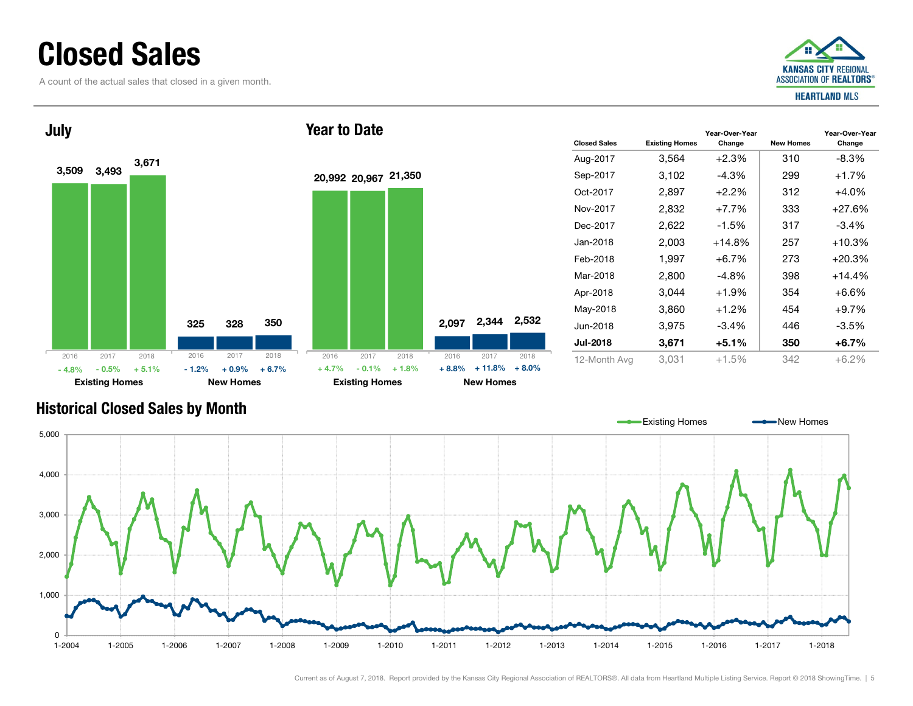### Closed Sales

A count of the actual sales that closed in a given month.





| <b>Closed Sales</b> | <b>Existing Homes</b> | Year-Over-Year<br>Change | <b>New Homes</b> | Year-Over-Year<br>Change |
|---------------------|-----------------------|--------------------------|------------------|--------------------------|
| Aug-2017            | 3,564                 | $+2.3%$                  | 310              | $-8.3\%$                 |
| Sep-2017            | 3,102                 | -4.3%                    | 299              | $+1.7%$                  |
| Oct-2017            | 2,897                 | $+2.2\%$                 | 312              | $+4.0\%$                 |
| Nov-2017            | 2,832                 | $+7.7%$                  | 333              | $+27.6%$                 |
| Dec-2017            | 2,622                 | $-1.5\%$                 | 317              | $-3.4%$                  |
| Jan-2018            | 2,003                 | $+14.8%$                 | 257              | $+10.3%$                 |
| Feb-2018            | 1,997                 | $+6.7%$                  | 273              | $+20.3%$                 |
| Mar-2018            | 2,800                 | $-4.8%$                  | 398              | $+14.4%$                 |
| Apr-2018            | 3.044                 | $+1.9%$                  | 354              | $+6.6%$                  |
| May-2018            | 3,860                 | $+1.2%$                  | 454              | $+9.7%$                  |
| Jun-2018            | 3,975                 | $-3.4%$                  | 446              | $-3.5%$                  |
| <b>Jul-2018</b>     | 3,671                 | $+5.1%$                  | 350              | $+6.7\%$                 |
| 12-Month Avg        | 3.031                 | $+1.5%$                  | 342              | $+6.2\%$                 |

#### Historical Closed Sales by Month

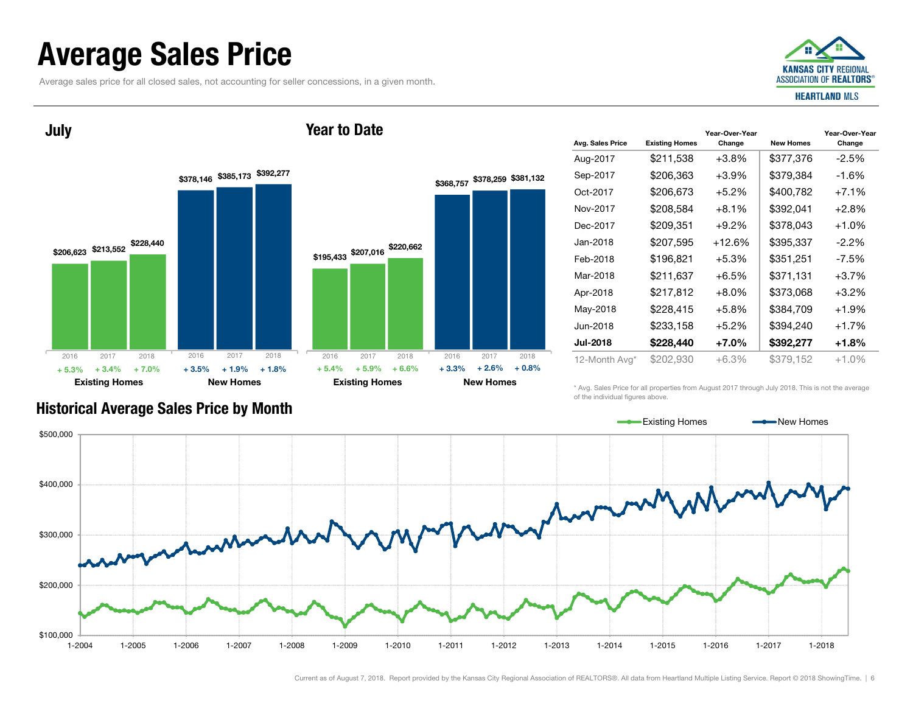### Average Sales Price

Average sales price for all closed sales, not accounting for seller concessions, in a given month.



July



Year to Date

| Avg. Sales Price | <b>Existing Homes</b> | Year-Over-Year<br>Change | <b>New Homes</b> | Year-Over-Year<br>Change |
|------------------|-----------------------|--------------------------|------------------|--------------------------|
| Aug-2017         | \$211,538             | $+3.8\%$                 | \$377,376        | $-2.5\%$                 |
| Sep-2017         | \$206,363             | $+3.9\%$                 | \$379,384        | -1.6%                    |
| Oct-2017         | \$206,673             | $+5.2%$                  | \$400,782        | $+7.1%$                  |
| Nov-2017         | \$208,584             | $+8.1%$                  | \$392,041        | $+2.8%$                  |
| Dec-2017         | \$209,351             | $+9.2\%$                 | \$378,043        | $+1.0%$                  |
| Jan-2018         | \$207,595             | $+12.6%$                 | \$395,337        | $-2.2\%$                 |
| Feb-2018         | \$196,821             | $+5.3\%$                 | \$351,251        | -7.5%                    |
| Mar-2018         | \$211,637             | $+6.5%$                  | \$371,131        | $+3.7%$                  |
| Apr-2018         | \$217,812             | $+8.0\%$                 | \$373,068        | $+3.2\%$                 |
| May-2018         | \$228,415             | $+5.8\%$                 | \$384,709        | $+1.9%$                  |
| Jun-2018         | \$233,158             | $+5.2%$                  | \$394,240        | $+1.7%$                  |
| <b>Jul-2018</b>  | \$228,440             | $+7.0\%$                 | \$392,277        | +1.8%                    |
| 12-Month Avg*    | \$202,930             | $+6.3%$                  | \$379.152        | $+1.0%$                  |

\* Avg. Sales Price for all properties from August 2017 through July 2018. This is not the average of the individual figures above.



### Historical Average Sales Price by Month

Current as of August 7, 2018. Report provided by the Kansas City Regional Association of REALTORS®. All data from Heartland Multiple Listing Service. Report © 2018 ShowingTime. | 6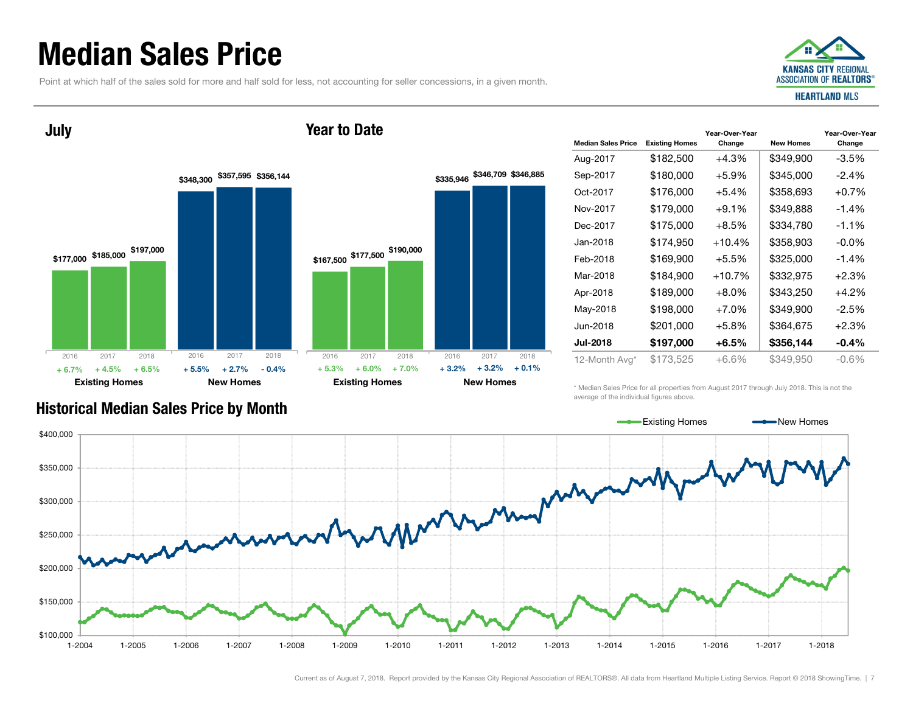### Median Sales Price

July

Point at which half of the sales sold for more and half sold for less, not accounting for seller concessions, in a given month.

Year to Date





| <b>Median Sales Price</b> | <b>Existing Homes</b> | Year-Over-Year<br>Change | <b>New Homes</b> | Year-Over-Year<br>Change |
|---------------------------|-----------------------|--------------------------|------------------|--------------------------|
| Aug-2017                  | \$182,500             | +4.3%                    | \$349,900        | $-3.5\%$                 |
| Sep-2017                  | \$180,000             | +5.9%                    | \$345,000        | $-2.4%$                  |
| Oct-2017                  | \$176,000             | $+5.4%$                  | \$358,693        | $+0.7%$                  |
| Nov-2017                  | \$179,000             | $+9.1\%$                 | \$349,888        | $-1.4\%$                 |
| Dec-2017                  | \$175,000             | +8.5%                    | \$334,780        | $-1.1%$                  |
| Jan-2018                  | \$174,950             | $+10.4%$                 | \$358,903        | $-0.0\%$                 |
| Feb-2018                  | \$169,900             | $+5.5%$                  | \$325,000        | $-1.4\%$                 |
| Mar-2018                  | \$184,900             | $+10.7%$                 | \$332,975        | $+2.3%$                  |
| Apr-2018                  | \$189,000             | $+8.0%$                  | \$343,250        | $+4.2%$                  |
| May-2018                  | \$198,000             | $+7.0\%$                 | \$349,900        | $-2.5\%$                 |
| Jun-2018                  | \$201,000             | +5.8%                    | \$364,675        | $+2.3%$                  |
| <b>Jul-2018</b>           | \$197,000             | +6.5%                    | \$356,144        | $-0.4%$                  |
| 12-Month Avg*             | \$173,525             | +6.6%                    | \$349,950        | $-0.6\%$                 |

Historical Median Sales Price by Month

\* Median Sales Price for all properties from August 2017 through July 2018. This is not the average of the individual figures above.

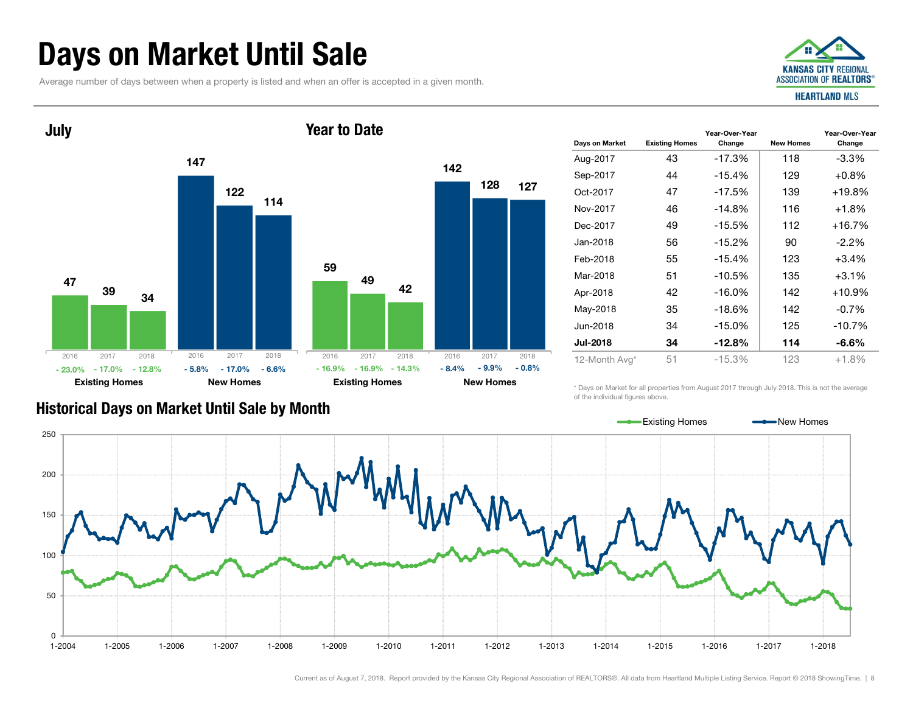### Days on Market Until Sale

Average number of days between when a property is listed and when an offer is accepted in a given month.





| Days on Market  | <b>Existing Homes</b> | Year-Over-Year<br>Change | <b>New Homes</b> | Year-Over-Year<br>Change |
|-----------------|-----------------------|--------------------------|------------------|--------------------------|
| Aug-2017        | 43                    | $-17.3%$                 | 118              | $-3.3\%$                 |
| Sep-2017        | 44                    | $-15.4%$                 | 129              | $+0.8\%$                 |
| Oct-2017        | 47                    | $-17.5%$                 | 139              | $+19.8%$                 |
| Nov-2017        | 46                    | $-14.8%$                 | 116              | $+1.8%$                  |
| Dec-2017        | 49                    | $-15.5%$                 | 112              | $+16.7%$                 |
| Jan-2018        | 56                    | $-15.2%$                 | 90               | $-2.2\%$                 |
| Feb-2018        | 55                    | $-15.4%$                 | 123              | $+3.4%$                  |
| Mar-2018        | 51                    | $-10.5%$                 | 135              | $+3.1%$                  |
| Apr-2018        | 42                    | $-16.0\%$                | 142              | $+10.9%$                 |
| May-2018        | 35                    | $-18.6\%$                | 142              | $-0.7\%$                 |
| Jun-2018        | 34                    | $-15.0\%$                | 125              | $-10.7%$                 |
| <b>Jul-2018</b> | 34                    | $-12.8%$                 | 114              | $-6.6%$                  |
| 12-Month Avg*   | 51                    | $-15.3%$                 | 123              | $+1.8%$                  |

#### Historical Days on Market Until Sale by Month

\* Days on Market for all properties from August 2017 through July 2018. This is not the average of the individual figures above.

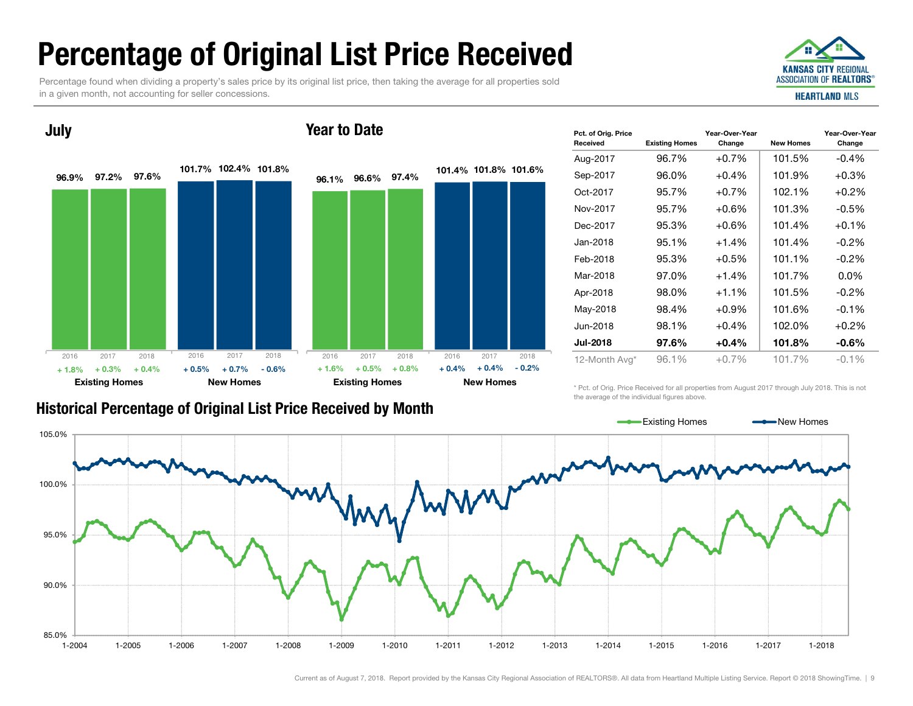## Percentage of Original List Price Received

Percentage found when dividing a property's sales price by its original list price, then taking the average for all properties sold in a given month, not accounting for seller concessions.



#### 96.9% 97.2% 97.6% 101.7%102.4%101.8%Existing Homes New Homes July 96.1%96.6%97.4%101.4%101.8%101.6%Existing Homes New Homes Year to Date2016 2017 2018 $+ 0.3%$  $\%$  + 0.4% + 0.5% + 0.7% - 0.6% + 1.6% + 0.5% + 0.8% + 0.4% + 0.4% - 0.2% 2016 2017 2018 2016 2017 2018 2016 2017 2018  $+ 1.8%$  $\%$  + 0.3% + 0.4% + 0.5% + 0.7% - 0.6% + 1.6% + 0.5% + 0.8% + 0.4%

| <b>Historical Percentage of Original List Price Received by Month</b> |  |  |
|-----------------------------------------------------------------------|--|--|
|-----------------------------------------------------------------------|--|--|

| Pct. of Orig. Price<br>Received | <b>Existing Homes</b> | Year-Over-Year<br>Change | <b>New Homes</b> | Year-Over-Year<br>Change |
|---------------------------------|-----------------------|--------------------------|------------------|--------------------------|
| Aug-2017                        | 96.7%                 | $+0.7%$                  | 101.5%           | $-0.4%$                  |
| Sep-2017                        | 96.0%                 | $+0.4%$                  | 101.9%           | $+0.3%$                  |
| Oct-2017                        | 95.7%                 | $+0.7%$                  | 102.1%           | $+0.2%$                  |
| Nov-2017                        | 95.7%                 | $+0.6%$                  | 101.3%           | $-0.5%$                  |
| Dec-2017                        | 95.3%                 | $+0.6%$                  | 101.4%           | $+0.1%$                  |
| Jan-2018                        | 95.1%                 | $+1.4%$                  | 101.4%           | $-0.2\%$                 |
| Feb-2018                        | 95.3%                 | $+0.5%$                  | 101.1%           | $-0.2\%$                 |
| Mar-2018                        | 97.0%                 | $+1.4%$                  | 101.7%           | $0.0\%$                  |
| Apr-2018                        | 98.0%                 | $+1.1%$                  | 101.5%           | $-0.2\%$                 |
| May-2018                        | 98.4%                 | $+0.9\%$                 | 101.6%           | $-0.1%$                  |
| Jun-2018                        | 98.1%                 | $+0.4%$                  | 102.0%           | $+0.2%$                  |
| <b>Jul-2018</b>                 | 97.6%                 | $+0.4%$                  | 101.8%           | $-0.6%$                  |
| 12-Month Avg*                   | 96.1%                 | $+0.7%$                  | 101.7%           | $-0.1%$                  |

\* Pct. of Orig. Price Received for all properties from August 2017 through July 2018. This is not the average of the individual figures above.

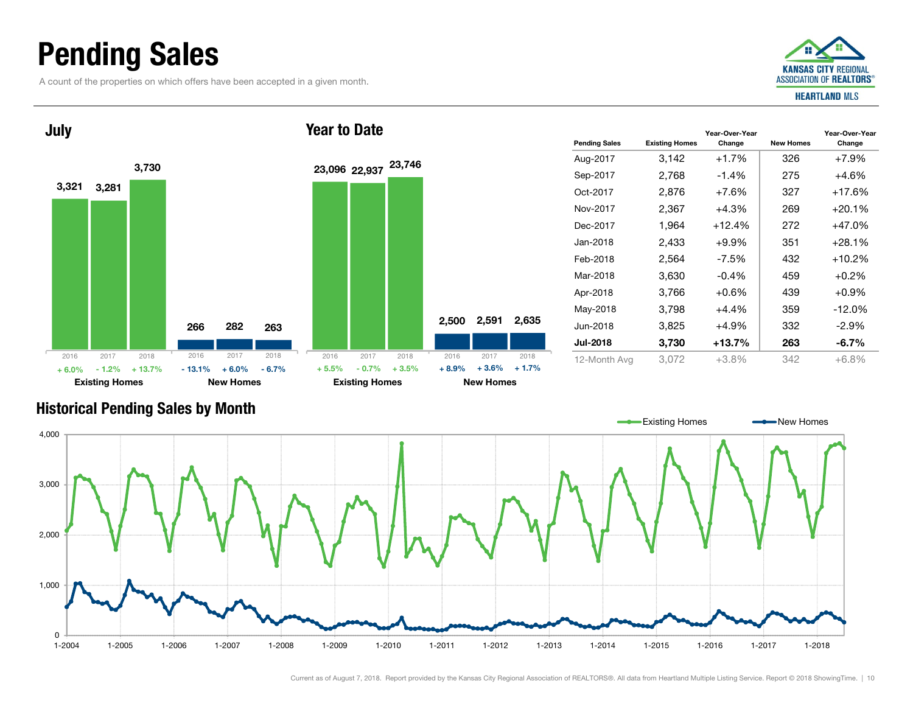### Pending Sales

A count of the properties on which offers have been accepted in a given month.





| <b>Pending Sales</b> | <b>Existing Homes</b> | Year-Over-Year<br>Change | <b>New Homes</b> | Year-Over-Year<br>Change |
|----------------------|-----------------------|--------------------------|------------------|--------------------------|
| Aug-2017             | 3,142                 | $+1.7%$                  | 326              | $+7.9%$                  |
| Sep-2017             | 2,768                 | $-1.4\%$                 | 275              | +4.6%                    |
| Oct-2017             | 2,876                 | $+7.6%$                  | 327              | +17.6%                   |
| Nov-2017             | 2,367                 | $+4.3%$                  | 269              | $+20.1%$                 |
| Dec-2017             | 1,964                 | $+12.4%$                 | 272              | +47.0%                   |
| Jan-2018             | 2,433                 | $+9.9\%$                 | 351              | $+28.1%$                 |
| Feb-2018             | 2,564                 | $-7.5%$                  | 432              | +10.2%                   |
| Mar-2018             | 3,630                 | $-0.4%$                  | 459              | $+0.2%$                  |
| Apr-2018             | 3,766                 | $+0.6%$                  | 439              | $+0.9%$                  |
| May-2018             | 3,798                 | $+4.4%$                  | 359              | $-12.0%$                 |
| Jun-2018             | 3,825                 | $+4.9\%$                 | 332              | $-2.9%$                  |
| <b>Jul-2018</b>      | 3,730                 | $+13.7%$                 | 263              | $-6.7\%$                 |
| 12-Month Avg         | 3,072                 | $+3.8%$                  | 342              | $+6.8%$                  |

#### Historical Pending Sales by Month

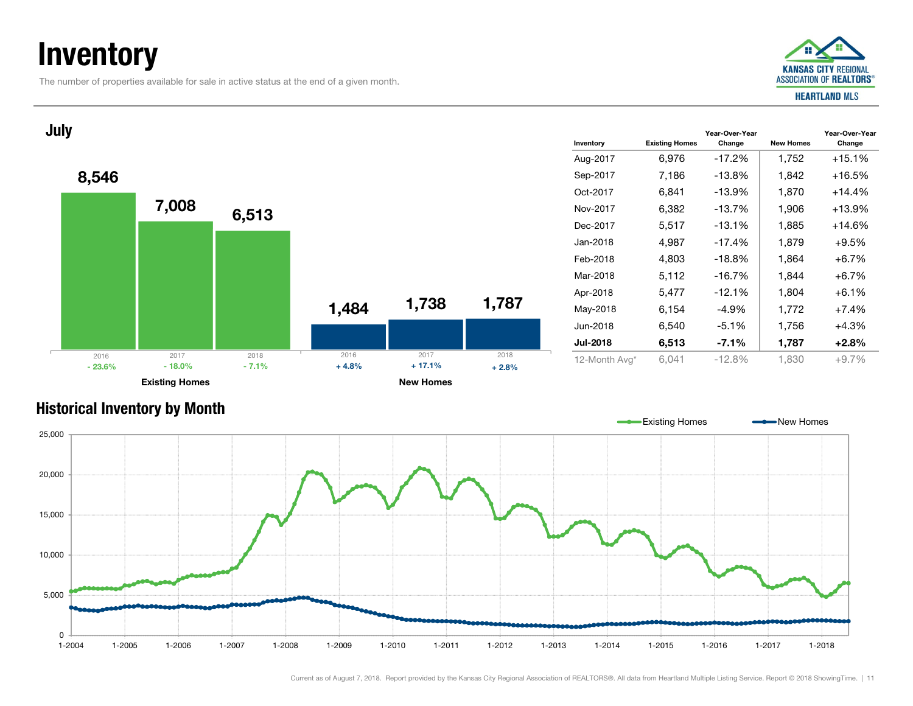### **Inventory**

The number of properties available for sale in active status at the end of a given month.



Year-Over-Year Change

#### Inventory Existing Homes Year-Over-Year Change New Homes Aug-2017 6,976 -17.2% 1,752 +15.1% Sep-2017 7,186 -13.8% 1,842 +16.5% Oct-2017 6,841 -13.9% 1,870 +14.4% Nov-2017 6,382 -13.7% 1,906 +13.9% Dec-2017 5,517 -13.1% 1,885 +14.6% Jan-2018 4,987 -17.4% 1,879 +9.5% Feb-2018 4,803 -18.8% 1,864 +6.7% Mar-2018 $5.112$  -16.7% 1.844 +6.7% Apr-2018 5,477 -12.1% 1,804 +6.1% May-2018 6,154 -4.9% 1,772 +7.4% Jun-2018 6,540 -5.1% 1,756 +4.3% Jul-2018 6,513 -7.1% 1,787 +2.8% 12-Month Avg\* 6,041 -12.8% 1,830 +9.7% 8,546 1,484 7,008 1,738 6,513 1,787 Existing Homes New Homes July 2016 2017 2018  $\%$  - 18.0% - 7.1% + 4.8% % - 7.1% + 4.8% + 17.1% +  $2.8\%$ 2016 2017 2018 - 23.6%

#### Historical Inventory by Month

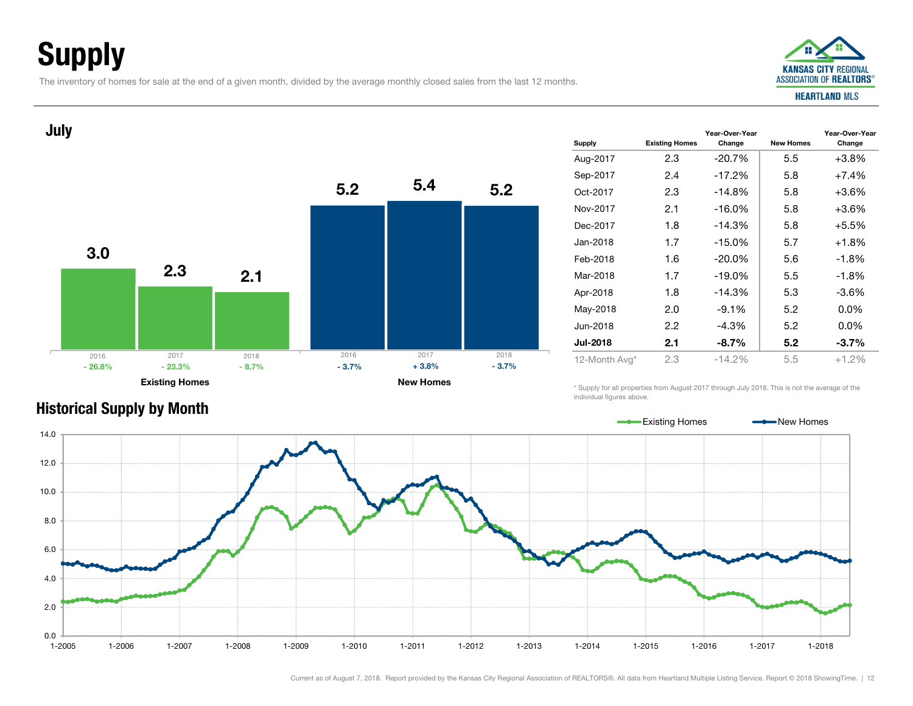## Supply

The inventory of homes for sale at the end of a given month, divided by the average monthly closed sales from the last 12 months.



#### Supply Existing Homes Year-Over-Year Change New Homes Year-Over-Year Change Aug-2017 2.3 -20.7% 5.5 +3.8% Sep-2017 2.4 -17.2% 5.8 +7.4% Oct-2017 2.3 -14.8% 5.8 +3.6%Nov-20172.1  $-16.0\%$  5.8  $+3.6\%$ Dec-2017 1.8 -14.3% 5.8 +5.5%Jan-20181.7  $-15.0\%$  5.7  $+1.8\%$ Feb-2018 1.6 -20.0% 5.6 -1.8%Mar-2018 1.7 -19.0% 5.5 -1.8%Apr-2018 1.8 -14.3% 5.3 -3.6% May-2018 2.0 -9.1% 5.2 0.0% Jun-2018 2.2 -4.3% 5.2 0.0%Jul-2018 2.1 -8.7% 5.2 -3.7%12-Month Avg\* 2.3 -14.2% 5.5 +1.2% 3.05.22.35.42.15.2Existing Homes New Homes July 2016 2017 2018 $\%$  - 23.3% - 8.7% - 3.7%  $\%$  - 8.7% - 3.7% + 3.8% - 3.7% 2016 2017 2018- 26.8%

\* Supply for all properties from August 2017 through July 2018. This is not the average of the individual figures above.



Historical Supply by Month